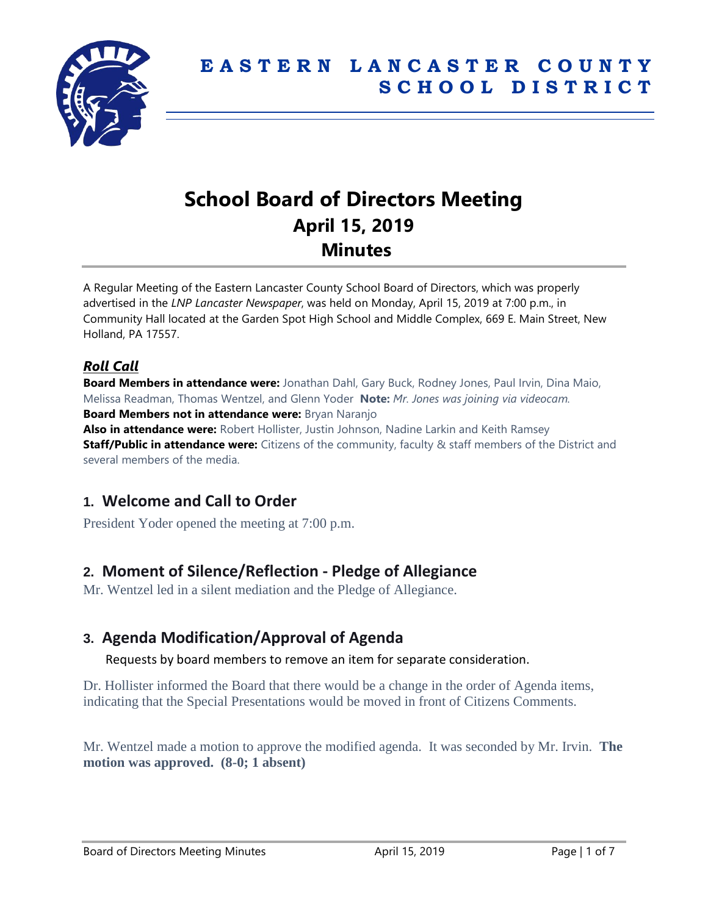

# **School Board of Directors Meeting April 15, 2019 Minutes**

A Regular Meeting of the Eastern Lancaster County School Board of Directors, which was properly advertised in the *LNP Lancaster Newspaper*, was held on Monday, April 15, 2019 at 7:00 p.m., in Community Hall located at the Garden Spot High School and Middle Complex, 669 E. Main Street, New Holland, PA 17557.

#### *Roll Call*

**Board Members in attendance were:** Jonathan Dahl, Gary Buck, Rodney Jones, Paul Irvin, Dina Maio, Melissa Readman, Thomas Wentzel, and Glenn Yoder **Note:** *Mr. Jones was joining via videocam.* **Board Members not in attendance were:** Bryan Naranjo

**Also in attendance were:** Robert Hollister, Justin Johnson, Nadine Larkin and Keith Ramsey **Staff/Public in attendance were:** Citizens of the community, faculty & staff members of the District and several members of the media.

## **1. Welcome and Call to Order**

President Yoder opened the meeting at 7:00 p.m.

## **2. Moment of Silence/Reflection - Pledge of Allegiance**

Mr. Wentzel led in a silent mediation and the Pledge of Allegiance.

## **3. Agenda Modification/Approval of Agenda**

Requests by board members to remove an item for separate consideration.

Dr. Hollister informed the Board that there would be a change in the order of Agenda items, indicating that the Special Presentations would be moved in front of Citizens Comments.

Mr. Wentzel made a motion to approve the modified agenda. It was seconded by Mr. Irvin. **The motion was approved. (8-0; 1 absent)**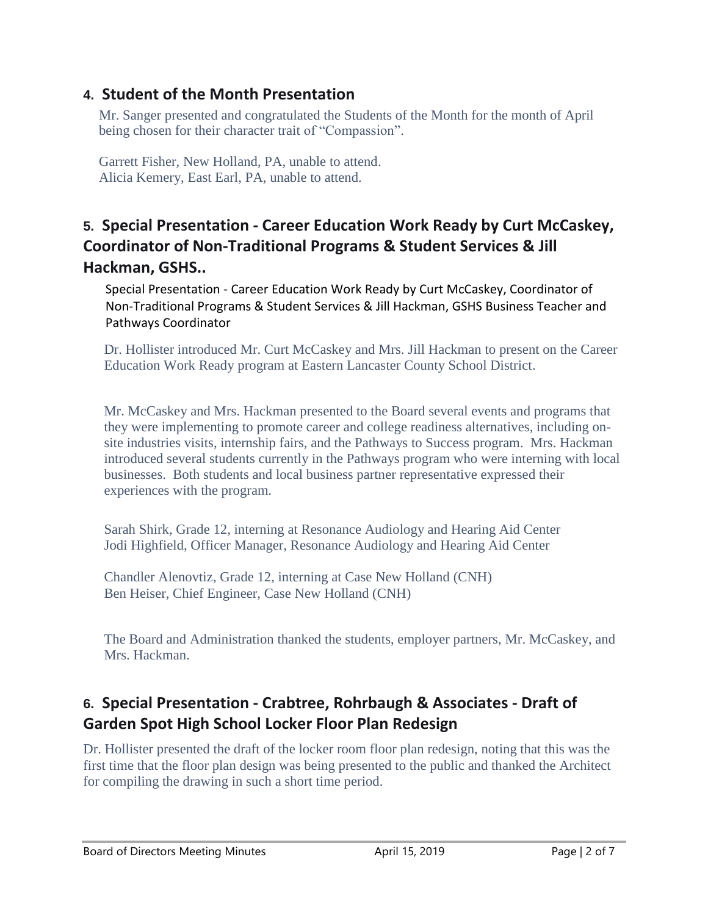## **4. Student of the Month Presentation**

Mr. Sanger presented and congratulated the Students of the Month for the month of April being chosen for their character trait of "Compassion".

Garrett Fisher, New Holland, PA, unable to attend. Alicia Kemery, East Earl, PA, unable to attend.

## **5. Special Presentation - Career Education Work Ready by Curt McCaskey, Coordinator of Non-Traditional Programs & Student Services & Jill Hackman, GSHS..**

Special Presentation - Career Education Work Ready by Curt McCaskey, Coordinator of Non-Traditional Programs & Student Services & Jill Hackman, GSHS Business Teacher and Pathways Coordinator

Dr. Hollister introduced Mr. Curt McCaskey and Mrs. Jill Hackman to present on the Career Education Work Ready program at Eastern Lancaster County School District.

Mr. McCaskey and Mrs. Hackman presented to the Board several events and programs that they were implementing to promote career and college readiness alternatives, including onsite industries visits, internship fairs, and the Pathways to Success program. Mrs. Hackman introduced several students currently in the Pathways program who were interning with local businesses. Both students and local business partner representative expressed their experiences with the program.

Sarah Shirk, Grade 12, interning at Resonance Audiology and Hearing Aid Center Jodi Highfield, Officer Manager, Resonance Audiology and Hearing Aid Center

Chandler Alenovtiz, Grade 12, interning at Case New Holland (CNH) Ben Heiser, Chief Engineer, Case New Holland (CNH)

The Board and Administration thanked the students, employer partners, Mr. McCaskey, and Mrs. Hackman.

## **6. Special Presentation - Crabtree, Rohrbaugh & Associates - Draft of Garden Spot High School Locker Floor Plan Redesign**

Dr. Hollister presented the draft of the locker room floor plan redesign, noting that this was the first time that the floor plan design was being presented to the public and thanked the Architect for compiling the drawing in such a short time period.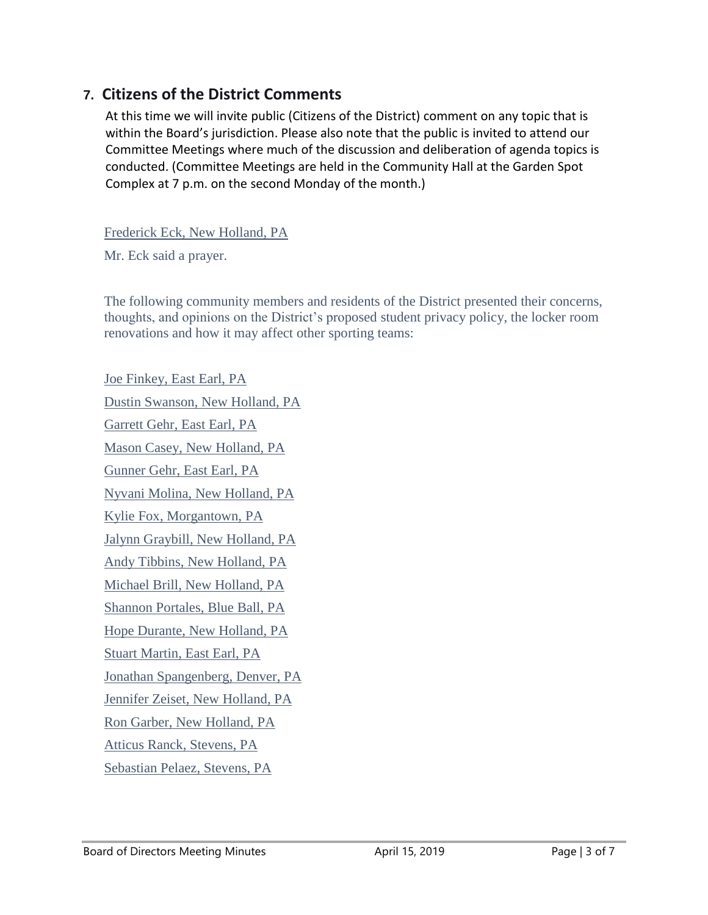## **7. Citizens of the District Comments**

At this time we will invite public (Citizens of the District) comment on any topic that is within the Board's jurisdiction. Please also note that the public is invited to attend our Committee Meetings where much of the discussion and deliberation of agenda topics is conducted. (Committee Meetings are held in the Community Hall at the Garden Spot Complex at 7 p.m. on the second Monday of the month.)

Frederick Eck, New Holland, PA

Mr. Eck said a prayer.

The following community members and residents of the District presented their concerns, thoughts, and opinions on the District's proposed student privacy policy, the locker room renovations and how it may affect other sporting teams:

Joe Finkey, East Earl, PA Dustin Swanson, New Holland, PA Garrett Gehr, East Earl, PA Mason Casey, New Holland, PA Gunner Gehr, East Earl, PA Nyvani Molina, New Holland, PA Kylie Fox, Morgantown, PA Jalynn Graybill, New Holland, PA Andy Tibbins, New Holland, PA Michael Brill, New Holland, PA Shannon Portales, Blue Ball, PA Hope Durante, New Holland, PA Stuart Martin, East Earl, PA Jonathan Spangenberg, Denver, PA Jennifer Zeiset, New Holland, PA Ron Garber, New Holland, PA Atticus Ranck, Stevens, PA Sebastian Pelaez, Stevens, PA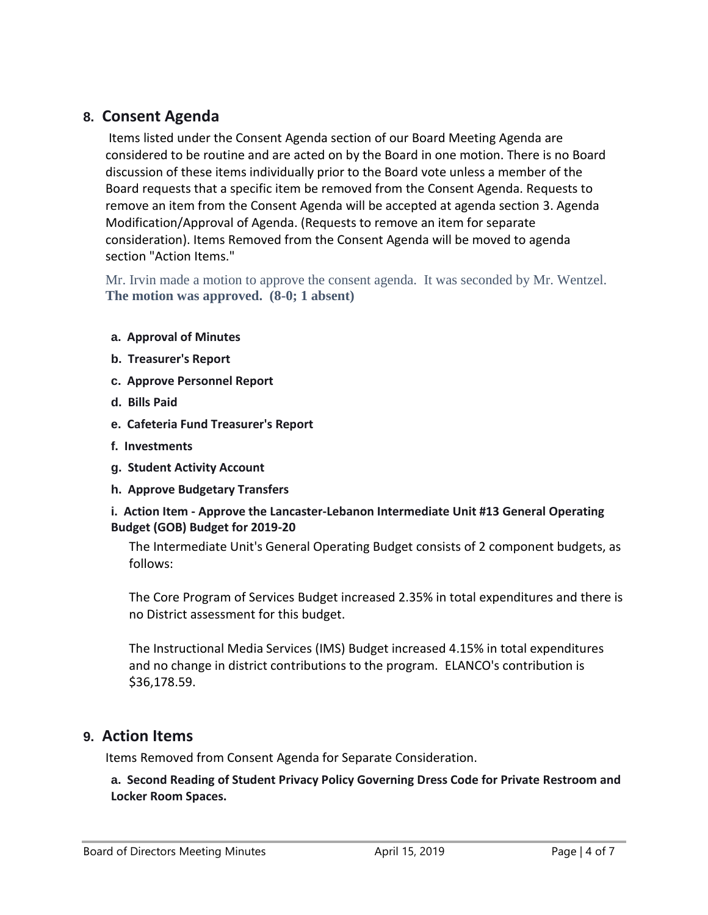#### **8. Consent Agenda**

Items listed under the Consent Agenda section of our Board Meeting Agenda are considered to be routine and are acted on by the Board in one motion. There is no Board discussion of these items individually prior to the Board vote unless a member of the Board requests that a specific item be removed from the Consent Agenda. Requests to remove an item from the Consent Agenda will be accepted at agenda section 3. Agenda Modification/Approval of Agenda. (Requests to remove an item for separate consideration). Items Removed from the Consent Agenda will be moved to agenda section "Action Items."

Mr. Irvin made a motion to approve the consent agenda. It was seconded by Mr. Wentzel. **The motion was approved. (8-0; 1 absent)**

- **a. Approval of Minutes**
- **b. Treasurer's Report**
- **c. Approve Personnel Report**
- **d. Bills Paid**
- **e. Cafeteria Fund Treasurer's Report**
- **f. Investments**
- **g. Student Activity Account**
- **h. Approve Budgetary Transfers**

#### **i. Action Item - Approve the Lancaster-Lebanon Intermediate Unit #13 General Operating Budget (GOB) Budget for 2019-20**

The Intermediate Unit's General Operating Budget consists of 2 component budgets, as follows:

The Core Program of Services Budget increased 2.35% in total expenditures and there is no District assessment for this budget.

The Instructional Media Services (IMS) Budget increased 4.15% in total expenditures and no change in district contributions to the program. ELANCO's contribution is \$36,178.59.

#### **9. Action Items**

Items Removed from Consent Agenda for Separate Consideration.

**a. Second Reading of Student Privacy Policy Governing Dress Code for Private Restroom and Locker Room Spaces.**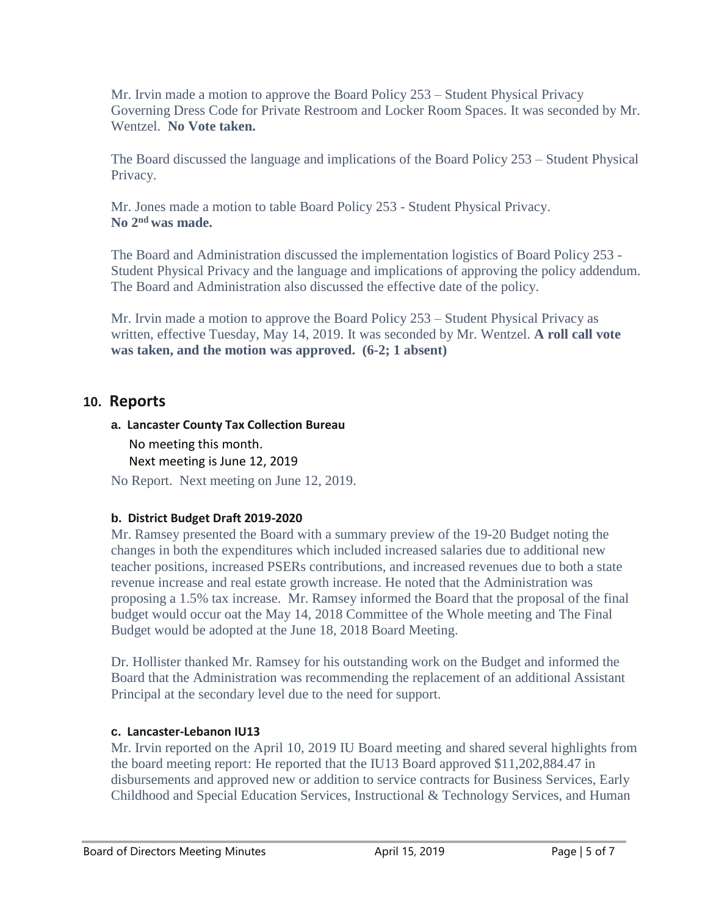Mr. Irvin made a motion to approve the Board Policy 253 – Student Physical Privacy Governing Dress Code for Private Restroom and Locker Room Spaces. It was seconded by Mr. Wentzel. **No Vote taken.**

The Board discussed the language and implications of the Board Policy 253 – Student Physical Privacy.

Mr. Jones made a motion to table Board Policy 253 - Student Physical Privacy. **No 2nd was made.**

The Board and Administration discussed the implementation logistics of Board Policy 253 - Student Physical Privacy and the language and implications of approving the policy addendum. The Board and Administration also discussed the effective date of the policy.

Mr. Irvin made a motion to approve the Board Policy 253 – Student Physical Privacy as written, effective Tuesday, May 14, 2019. It was seconded by Mr. Wentzel. **A roll call vote was taken, and the motion was approved. (6-2; 1 absent)**

#### **10. Reports**

## **a. Lancaster County Tax Collection Bureau** No meeting this month. Next meeting is June 12, 2019

No Report. Next meeting on June 12, 2019.

#### **b. District Budget Draft 2019-2020**

Mr. Ramsey presented the Board with a summary preview of the 19-20 Budget noting the changes in both the expenditures which included increased salaries due to additional new teacher positions, increased PSERs contributions, and increased revenues due to both a state revenue increase and real estate growth increase. He noted that the Administration was proposing a 1.5% tax increase. Mr. Ramsey informed the Board that the proposal of the final budget would occur oat the May 14, 2018 Committee of the Whole meeting and The Final Budget would be adopted at the June 18, 2018 Board Meeting.

Dr. Hollister thanked Mr. Ramsey for his outstanding work on the Budget and informed the Board that the Administration was recommending the replacement of an additional Assistant Principal at the secondary level due to the need for support.

#### **c. Lancaster-Lebanon IU13**

Mr. Irvin reported on the April 10, 2019 IU Board meeting and shared several highlights from the board meeting report: He reported that the IU13 Board approved \$11,202,884.47 in disbursements and approved new or addition to service contracts for Business Services, Early Childhood and Special Education Services, Instructional & Technology Services, and Human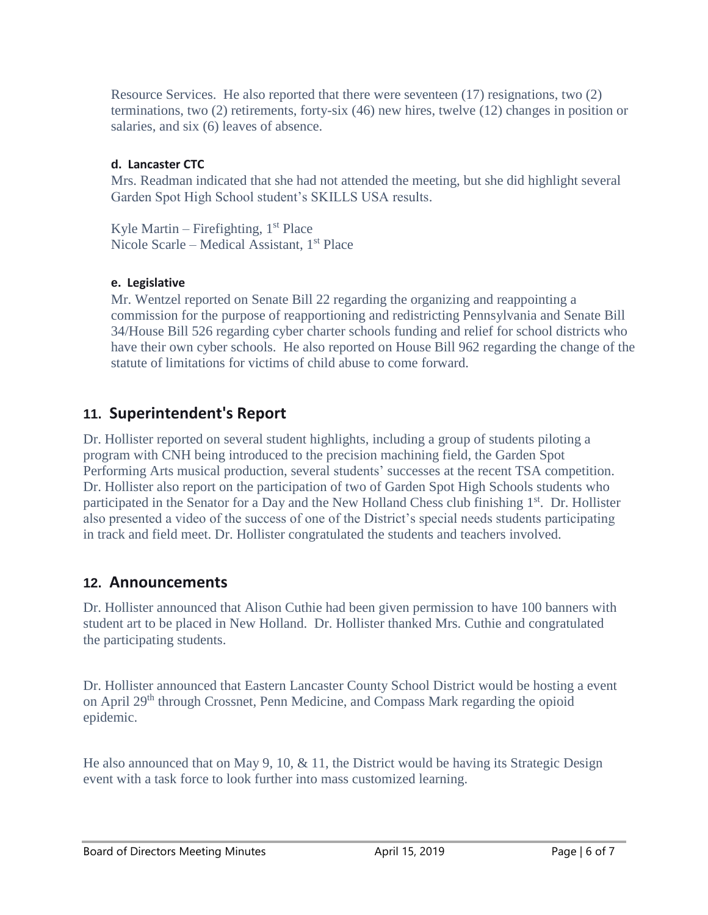Resource Services. He also reported that there were seventeen (17) resignations, two (2) terminations, two (2) retirements, forty-six (46) new hires, twelve (12) changes in position or salaries, and six (6) leaves of absence.

#### **d. Lancaster CTC**

Mrs. Readman indicated that she had not attended the meeting, but she did highlight several Garden Spot High School student's SKILLS USA results.

Kyle Martin – Firefighting,  $1<sup>st</sup>$  Place Nicole Scarle – Medical Assistant, 1<sup>st</sup> Place

#### **e. Legislative**

Mr. Wentzel reported on Senate Bill 22 regarding the organizing and reappointing a commission for the purpose of reapportioning and redistricting Pennsylvania and Senate Bill 34/House Bill 526 regarding cyber charter schools funding and relief for school districts who have their own cyber schools. He also reported on House Bill 962 regarding the change of the statute of limitations for victims of child abuse to come forward.

#### **11. Superintendent's Report**

Dr. Hollister reported on several student highlights, including a group of students piloting a program with CNH being introduced to the precision machining field, the Garden Spot Performing Arts musical production, several students' successes at the recent TSA competition. Dr. Hollister also report on the participation of two of Garden Spot High Schools students who participated in the Senator for a Day and the New Holland Chess club finishing  $1<sup>st</sup>$ . Dr. Hollister also presented a video of the success of one of the District's special needs students participating in track and field meet. Dr. Hollister congratulated the students and teachers involved.

#### **12. Announcements**

Dr. Hollister announced that Alison Cuthie had been given permission to have 100 banners with student art to be placed in New Holland. Dr. Hollister thanked Mrs. Cuthie and congratulated the participating students.

Dr. Hollister announced that Eastern Lancaster County School District would be hosting a event on April 29th through Crossnet, Penn Medicine, and Compass Mark regarding the opioid epidemic.

He also announced that on May 9, 10,  $\&$  11, the District would be having its Strategic Design event with a task force to look further into mass customized learning.